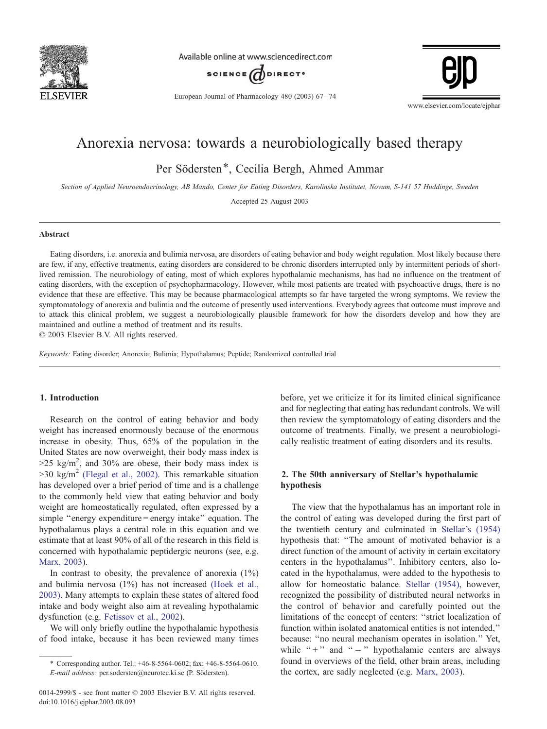

Available online at www.sciencedirect.com



European Journal of Pharmacology 480 (2003)  $67-74$ 



# Anorexia nervosa: towards a neurobiologically based therapy

Per Södersten\*, Cecilia Bergh, Ahmed Ammar

Section of Applied Neuroendocrinology, AB Mando, Center for Eating Disorders, Karolinska Institutet, Novum, S-141 57 Huddinge, Sweden

Accepted 25 August 2003

#### Abstract

Eating disorders, i.e. anorexia and bulimia nervosa, are disorders of eating behavior and body weight regulation. Most likely because there are few, if any, effective treatments, eating disorders are considered to be chronic disorders interrupted only by intermittent periods of shortlived remission. The neurobiology of eating, most of which explores hypothalamic mechanisms, has had no influence on the treatment of eating disorders, with the exception of psychopharmacology. However, while most patients are treated with psychoactive drugs, there is no evidence that these are effective. This may be because pharmacological attempts so far have targeted the wrong symptoms. We review the symptomatology of anorexia and bulimia and the outcome of presently used interventions. Everybody agrees that outcome must improve and to attack this clinical problem, we suggest a neurobiologically plausible framework for how the disorders develop and how they are maintained and outline a method of treatment and its results.

 $© 2003 Elsevier B.V. All rights reserved.$ 

Keywords: Eating disorder; Anorexia; Bulimia; Hypothalamus; Peptide; Randomized controlled trial

# 1. Introduction

Research on the control of eating behavior and body weight has increased enormously because of the enormous increase in obesity. Thus, 65% of the population in the United States are now overweight, their body mass index is  $>$ 25 kg/m<sup>2</sup>, and 30% are obese, their body mass index is  $>$ 30 kg/m<sup>2</sup> [\(Flegal](#page-6-0) et al., 2002). This remarkable situation has developed over a brief period of time and is a challenge to the commonly held view that eating behavior and body weight are homeostatically regulated, often expressed by a simple "energy expenditure = energy intake" equation. The hypothalamus plays a central role in this equation and we estimate that at least 90% of all of the research in this field is concerned with hypothalamic peptidergic neurons (see, e.g. [Marx,](#page-7-0) 2003).

In contrast to obesity, the prevalence of anorexia  $(1\%)$ and bulimia nervosa (1%) has not increased [\(Hoek](#page-6-0) et al., 2003). Many attempts to explain these states of altered food intake and body weight also aim at revealing hypothalamic dysfunction (e.g. [Fetissov](#page-6-0) et al., 2002).

We will only briefly outline the hypothalamic hypothesis of food intake, because it has been reviewed many times

before, yet we criticize it for its limited clinical significance and for neglecting that eating has redundant controls. We will then review the symptomatology of eating disorders and the outcome of treatments. Finally, we present a neurobiologically realistic treatment of eating disorders and its results.

# 2. The 50th anniversary of Stellar's hypothalamic hypothesis

The view that the hypothalamus has an important role in the control of eating was developed during the first part of the twentieth century and culminated in [Stellar's](#page-7-0) (1954) hypothesis that: ''The amount of motivated behavior is a direct function of the amount of activity in certain excitatory centers in the hypothalamus''. Inhibitory centers, also located in the hypothalamus, were added to the hypothesis to allow for homeostatic balance. Stellar [\(1954\),](#page-7-0) however, recognized the possibility of distributed neural networks in the control of behavior and carefully pointed out the limitations of the concept of centers: ''strict localization of function within isolated anatomical entities is not intended,'' because: ''no neural mechanism operates in isolation.'' Yet, while " $+$ " and " $-$ " hypothalamic centers are always found in overviews of the field, other brain areas, including the cortex, are sadly neglected (e.g. Marx, [2003\)](#page-7-0).

<sup>\*</sup> Corresponding author. Tel.: +46-8-5564-0602; fax: +46-8-5564-0610. E-mail address: per.sodersten@neurotec.ki.se (P. Södersten).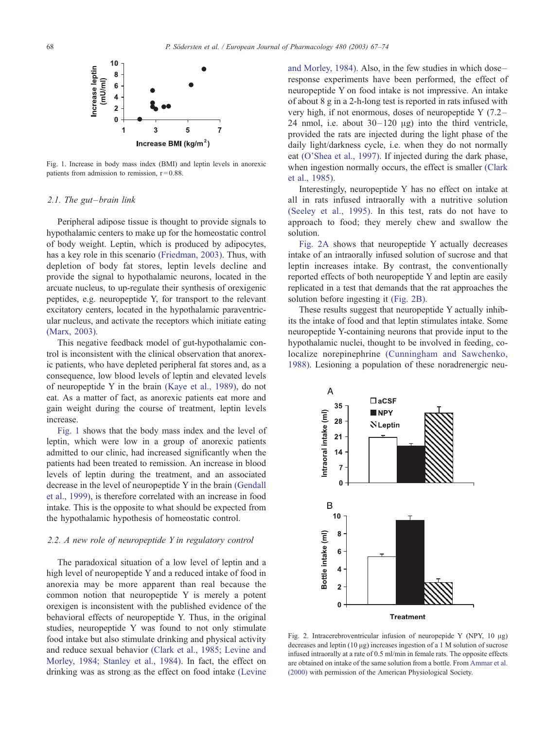

Fig. 1. Increase in body mass index (BMI) and leptin levels in anorexic patients from admission to remission,  $r = 0.88$ .

# 2.1. The gut–brain link

Peripheral adipose tissue is thought to provide signals to hypothalamic centers to make up for the homeostatic control of body weight. Leptin, which is produced by adipocytes, has a key role in this scenario [\(Friedman,](#page-6-0) 2003). Thus, with depletion of body fat stores, leptin levels decline and provide the signal to hypothalamic neurons, located in the arcuate nucleus, to up-regulate their synthesis of orexigenic peptides, e.g. neuropeptide Y, for transport to the relevant excitatory centers, located in the hypothalamic paraventricular nucleus, and activate the receptors which initiate eating [\(Marx,](#page-7-0) 2003).

This negative feedback model of gut-hypothalamic control is inconsistent with the clinical observation that anorexic patients, who have depleted peripheral fat stores and, as a consequence, low blood levels of leptin and elevated levels of neuropeptide Y in the brain (Kaye et al., [1989\),](#page-7-0) do not eat. As a matter of fact, as anorexic patients eat more and gain weight during the course of treatment, leptin levels increase.

Fig. 1 shows that the body mass index and the level of leptin, which were low in a group of anorexic patients admitted to our clinic, had increased significantly when the patients had been treated to remission. An increase in blood levels of leptin during the treatment, and an associated decrease in the level of neuropeptide Y in the brain [\(Gendall](#page-6-0) et al., 1999), is therefore correlated with an increase in food intake. This is the opposite to what should be expected from the hypothalamic hypothesis of homeostatic control.

#### 2.2. A new role of neuropeptide Y in regulatory control

The paradoxical situation of a low level of leptin and a high level of neuropeptide Y and a reduced intake of food in anorexia may be more apparent than real because the common notion that neuropeptide Y is merely a potent orexigen is inconsistent with the published evidence of the behavioral effects of neuropeptide Y. Thus, in the original studies, neuropeptide Y was found to not only stimulate food intake but also stimulate drinking and physical activity and reduce sexual behavior (Clark et al., 1985; [Levine](#page-6-0) and Morley, 1984; Stanley et al., 1984). In fact, the effect on drinking was as strong as the effect on food intake [\(Levine](#page-7-0) and Morley, 1984). Also, in the few studies in which dose– response experiments have been performed, the effect of neuropeptide Y on food intake is not impressive. An intake of about 8 g in a 2-h-long test is reported in rats infused with very high, if not enormous, doses of neuropeptide Y (7.2– 24 nmol, i.e. about  $30-120 \mu$ g) into the third ventricle, provided the rats are injected during the light phase of the daily light/darkness cycle, i.e. when they do not normally eat [\(O'Shea](#page-7-0) et al., 1997). If injected during the dark phase, when ingestion normally occurs, the effect is smaller [\(Clark](#page-6-0) et al., 1985).

Interestingly, neuropeptide Y has no effect on intake at all in rats infused intraorally with a nutritive solution [\(Seeley](#page-7-0) et al., 1995). In this test, rats do not have to approach to food; they merely chew and swallow the solution.

Fig. 2A shows that neuropeptide Y actually decreases intake of an intraorally infused solution of sucrose and that leptin increases intake. By contrast, the conventionally reported effects of both neuropeptide Y and leptin are easily replicated in a test that demands that the rat approaches the solution before ingesting it (Fig. 2B).

These results suggest that neuropeptide Y actually inhibits the intake of food and that leptin stimulates intake. Some neuropeptide Y-containing neurons that provide input to the hypothalamic nuclei, thought to be involved in feeding, co-localize norepinephrine [\(Cunningham](#page-6-0) and Sawchenko, 1988). Lesioning a population of these noradrenergic neu-



Fig. 2. Intracerebroventricular infusion of neuropepide Y (NPY,  $10 \mu g$ ) decreases and leptin  $(10 \mu g)$  increases ingestion of a 1 M solution of sucrose infused intraorally at a rate of 0.5 ml/min in female rats. The opposite effects are obtained on intake of the same solution from a bottle. From [Ammar](#page-6-0) et al. (2000) with permission of the American Physiological Society.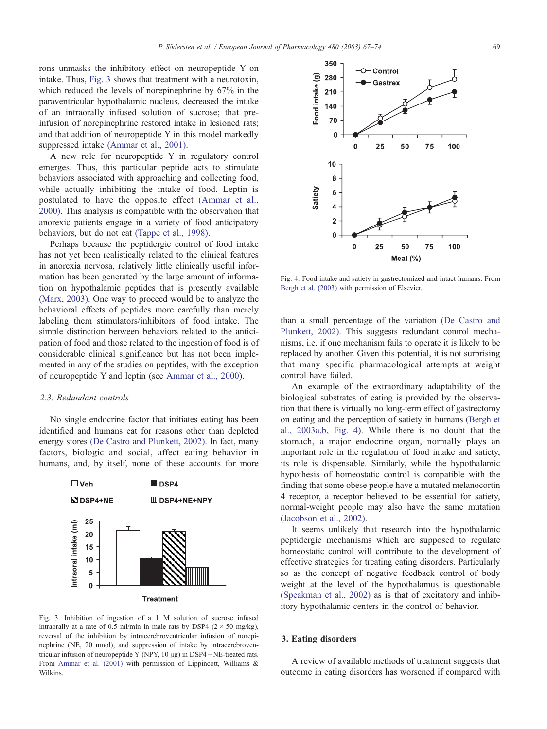rons unmasks the inhibitory effect on neuropeptide Y on intake. Thus, Fig. 3 shows that treatment with a neurotoxin, which reduced the levels of norepinephrine by 67% in the paraventricular hypothalamic nucleus, decreased the intake of an intraorally infused solution of sucrose; that preinfusion of norepinephrine restored intake in lesioned rats; and that addition of neuropeptide Y in this model markedly suppressed intake [\(Ammar](#page-6-0) et al., 2001).

A new role for neuropeptide Y in regulatory control emerges. Thus, this particular peptide acts to stimulate behaviors associated with approaching and collecting food, while actually inhibiting the intake of food. Leptin is postulated to have the opposite effect [\(Ammar](#page-6-0) et al., 2000). This analysis is compatible with the observation that anorexic patients engage in a variety of food anticipatory behaviors, but do not eat [\(Tappe](#page-7-0) et al., 1998).

Perhaps because the peptidergic control of food intake has not yet been realistically related to the clinical features in anorexia nervosa, relatively little clinically useful information has been generated by the large amount of information on hypothalamic peptides that is presently available [\(Marx,](#page-7-0) 2003). One way to proceed would be to analyze the behavioral effects of peptides more carefully than merely labeling them stimulators/inhibitors of food intake. The simple distinction between behaviors related to the anticipation of food and those related to the ingestion of food is of considerable clinical significance but has not been implemented in any of the studies on peptides, with the exception of neuropeptide Y and leptin (see [Ammar](#page-6-0) et al., 2000).

# 2.3. Redundant controls

No single endocrine factor that initiates eating has been identified and humans eat for reasons other than depleted energy stores (De Castro and [Plunkett,](#page-6-0) 2002). In fact, many factors, biologic and social, affect eating behavior in humans, and, by itself, none of these accounts for more



Fig. 3. Inhibition of ingestion of a 1 M solution of sucrose infused intraorally at a rate of 0.5 ml/min in male rats by DSP4 ( $2 \times 50$  mg/kg), reversal of the inhibition by intracerebroventricular infusion of norepinephrine (NE, 20 nmol), and suppression of intake by intracerebroventricular infusion of neuropeptide Y (NPY,  $10 \mu$ g) in DSP4 + NE-treated rats. From [Ammar](#page-6-0) et al. (2001) with permission of Lippincott, Williams & Wilkins.



Fig. 4. Food intake and satiety in gastrectomized and intact humans. From Bergh et al. [\(2003\)](#page-6-0) with permission of Elsevier.

than a small percentage of the variation (De [Castro](#page-6-0) and Plunkett, 2002). This suggests redundant control mechanisms, i.e. if one mechanism fails to operate it is likely to be replaced by another. Given this potential, it is not surprising that many specific pharmacological attempts at weight control have failed.

An example of the extraordinary adaptability of the biological substrates of eating is provided by the observation that there is virtually no long-term effect of gastrectomy on eating and the perception of satiety in humans ([Bergh](#page-6-0) et al., 2003a,b, Fig. 4). While there is no doubt that the stomach, a major endocrine organ, normally plays an important role in the regulation of food intake and satiety, its role is dispensable. Similarly, while the hypothalamic hypothesis of homeostatic control is compatible with the finding that some obese people have a mutated melanocortin 4 receptor, a receptor believed to be essential for satiety, normal-weight people may also have the same mutation [\(Jacobson](#page-7-0) et al., 2002).

It seems unlikely that research into the hypothalamic peptidergic mechanisms which are supposed to regulate homeostatic control will contribute to the development of effective strategies for treating eating disorders. Particularly so as the concept of negative feedback control of body weight at the level of the hypothalamus is questionable [\(Speakman](#page-7-0) et al., 2002) as is that of excitatory and inhibitory hypothalamic centers in the control of behavior.

# 3. Eating disorders

A review of available methods of treatment suggests that outcome in eating disorders has worsened if compared with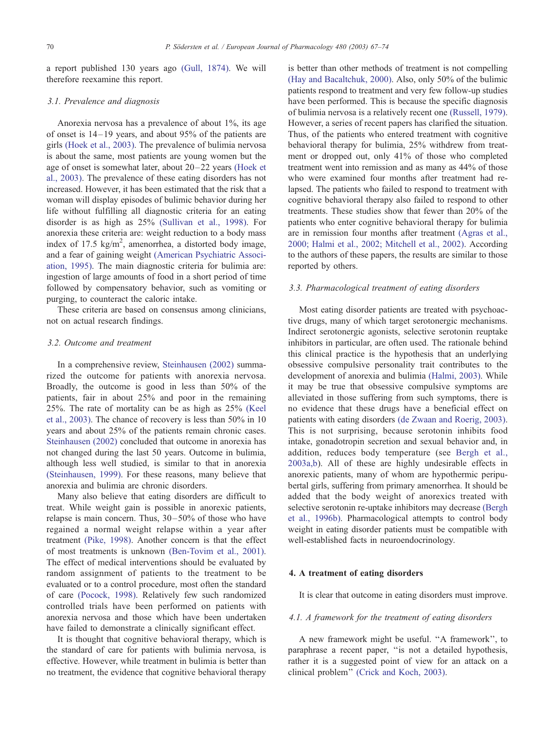a report published 130 years ago (Gull, [1874\).](#page-6-0) We will therefore reexamine this report.

#### 3.1. Prevalence and diagnosis

Anorexia nervosa has a prevalence of about 1%, its age of onset is 14–19 years, and about 95% of the patients are girls [\(Hoek](#page-6-0) et al., 2003). The prevalence of bulimia nervosa is about the same, most patients are young women but the age of onset is somewhat later, about 20–22 years [\(Hoek](#page-6-0) et al., 2003). The prevalence of these eating disorders has not increased. However, it has been estimated that the risk that a woman will display episodes of bulimic behavior during her life without fulfilling all diagnostic criteria for an eating disorder is as high as 25% [\(Sullivan](#page-7-0) et al., 1998). For anorexia these criteria are: weight reduction to a body mass index of 17.5 kg/m<sup>2</sup>, amenorrhea, a distorted body image, and a fear of gaining weight (American [Psychiatric](#page-6-0) Association, 1995). The main diagnostic criteria for bulimia are: ingestion of large amounts of food in a short period of time followed by compensatory behavior, such as vomiting or purging, to counteract the caloric intake.

These criteria are based on consensus among clinicians, not on actual research findings.

# 3.2. Outcome and treatment

In a comprehensive review, [Steinhausen](#page-7-0) (2002) summarized the outcome for patients with anorexia nervosa. Broadly, the outcome is good in less than 50% of the patients, fair in about 25% and poor in the remaining 25%. The rate of mortality can be as high as 25% [\(Keel](#page-7-0) et al., 2003). The chance of recovery is less than 50% in 10 years and about 25% of the patients remain chronic cases. [Steinhausen](#page-7-0) (2002) concluded that outcome in anorexia has not changed during the last 50 years. Outcome in bulimia, although less well studied, is similar to that in anorexia [\(Steinhausen,](#page-7-0) 1999). For these reasons, many believe that anorexia and bulimia are chronic disorders.

Many also believe that eating disorders are difficult to treat. While weight gain is possible in anorexic patients, relapse is main concern. Thus, 30–50% of those who have regained a normal weight relapse within a year after treatment (Pike, [1998\).](#page-7-0) Another concern is that the effect of most treatments is unknown [\(Ben-Tovim](#page-6-0) et al., 2001). The effect of medical interventions should be evaluated by random assignment of patients to the treatment to be evaluated or to a control procedure, most often the standard of care [\(Pocock,](#page-7-0) 1998). Relatively few such randomized controlled trials have been performed on patients with anorexia nervosa and those which have been undertaken have failed to demonstrate a clinically significant effect.

It is thought that cognitive behavioral therapy, which is the standard of care for patients with bulimia nervosa, is effective. However, while treatment in bulimia is better than no treatment, the evidence that cognitive behavioral therapy is better than other methods of treatment is not compelling (Hay and [Bacaltchuk,](#page-6-0) 2000). Also, only 50% of the bulimic patients respond to treatment and very few follow-up studies have been performed. This is because the specific diagnosis of bulimia nervosa is a relatively recent one [\(Russell,](#page-7-0) 1979). However, a series of recent papers has clarified the situation. Thus, of the patients who entered treatment with cognitive behavioral therapy for bulimia, 25% withdrew from treatment or dropped out, only 41% of those who completed treatment went into remission and as many as 44% of those who were examined four months after treatment had relapsed. The patients who failed to respond to treatment with cognitive behavioral therapy also failed to respond to other treatments. These studies show that fewer than 20% of the patients who enter cognitive behavioral therapy for bulimia are in remission four months after treatment [\(Agras](#page-6-0) et al., 2000; Halmi et al., 2002; Mitchell et al., 2002). According to the authors of these papers, the results are similar to those reported by others.

# 3.3. Pharmacological treatment of eating disorders

Most eating disorder patients are treated with psychoactive drugs, many of which target serotonergic mechanisms. Indirect serotonergic agonists, selective serotonin reuptake inhibitors in particular, are often used. The rationale behind this clinical practice is the hypothesis that an underlying obsessive compulsive personality trait contributes to the development of anorexia and bulimia [\(Halmi,](#page-6-0) 2003). While it may be true that obsessive compulsive symptoms are alleviated in those suffering from such symptoms, there is no evidence that these drugs have a beneficial effect on patients with eating disorders (de Zwaan and [Roerig,](#page-6-0) 2003). This is not surprising, because serotonin inhibits food intake, gonadotropin secretion and sexual behavior and, in addition, reduces body temperature (see [Bergh](#page-6-0) et al., 2003a,b). All of these are highly undesirable effects in anorexic patients, many of whom are hypothermic peripubertal girls, suffering from primary amenorrhea. It should be added that the body weight of anorexics treated with selective serotonin re-uptake inhibitors may decrease [\(Bergh](#page-6-0) et al., 1996b). Pharmacological attempts to control body weight in eating disorder patients must be compatible with well-established facts in neuroendocrinology.

# 4. A treatment of eating disorders

It is clear that outcome in eating disorders must improve.

# 4.1. A framework for the treatment of eating disorders

A new framework might be useful. ''A framework'', to paraphrase a recent paper, ''is not a detailed hypothesis, rather it is a suggested point of view for an attack on a clinical problem'' (Crick and Koch, [2003\).](#page-6-0)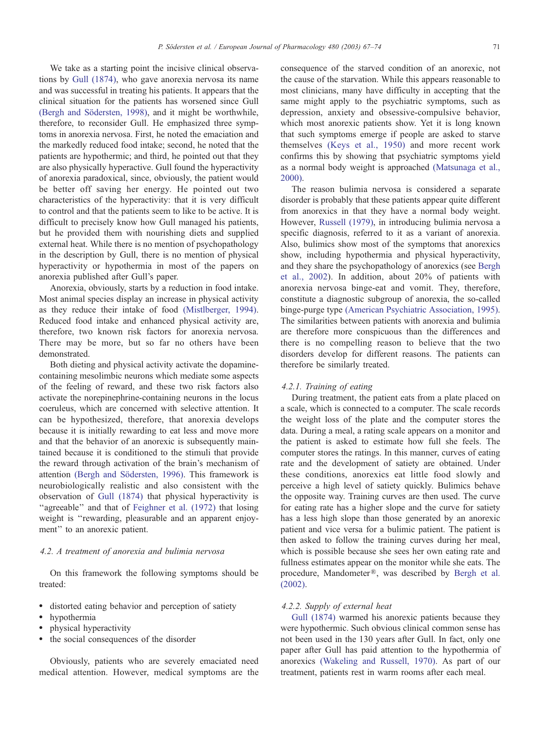We take as a starting point the incisive clinical observations by Gull [\(1874\),](#page-6-0) who gave anorexia nervosa its name and was successful in treating his patients. It appears that the clinical situation for the patients has worsened since Gull (Bergh and Södersten, 1998), and it might be worthwhile, therefore, to reconsider Gull. He emphasized three symptoms in anorexia nervosa. First, he noted the emaciation and the markedly reduced food intake; second, he noted that the patients are hypothermic; and third, he pointed out that they are also physically hyperactive. Gull found the hyperactivity of anorexia paradoxical, since, obviously, the patient would be better off saving her energy. He pointed out two characteristics of the hyperactivity: that it is very difficult to control and that the patients seem to like to be active. It is difficult to precisely know how Gull managed his patients, but he provided them with nourishing diets and supplied external heat. While there is no mention of psychopathology in the description by Gull, there is no mention of physical hyperactivity or hypothermia in most of the papers on anorexia published after Gull's paper.

Anorexia, obviously, starts by a reduction in food intake. Most animal species display an increase in physical activity as they reduce their intake of food [\(Mistlberger,](#page-7-0) 1994). Reduced food intake and enhanced physical activity are, therefore, two known risk factors for anorexia nervosa. There may be more, but so far no others have been demonstrated.

Both dieting and physical activity activate the dopaminecontaining mesolimbic neurons which mediate some aspects of the feeling of reward, and these two risk factors also activate the norepinephrine-containing neurons in the locus coeruleus, which are concerned with selective attention. It can be hypothesized, therefore, that anorexia develops because it is initially rewarding to eat less and move more and that the behavior of an anorexic is subsequently maintained because it is conditioned to the stimuli that provide the reward through activation of the brain's mechanism of attention (Bergh and Södersten, 1996). This framework is neurobiologically realistic and also consistent with the observation of Gull [\(1874\)](#page-6-0) that physical hyperactivity is "agreeable" and that of [Feighner](#page-6-0) et al. (1972) that losing weight is "rewarding, pleasurable and an apparent enjoyment'' to an anorexic patient.

#### 4.2. A treatment of anorexia and bulimia nervosa

On this framework the following symptoms should be treated:

- distorted eating behavior and perception of satiety
- hypothermia
- physical hyperactivity
- the social consequences of the disorder

Obviously, patients who are severely emaciated need medical attention. However, medical symptoms are the

consequence of the starved condition of an anorexic, not the cause of the starvation. While this appears reasonable to most clinicians, many have difficulty in accepting that the same might apply to the psychiatric symptoms, such as depression, anxiety and obsessive-compulsive behavior, which most anorexic patients show. Yet it is long known that such symptoms emerge if people are asked to starve themselves (Keys et al., [1950\)](#page-7-0) and more recent work confirms this by showing that psychiatric symptoms yield as a normal body weight is approached [\(Matsunaga](#page-7-0) et al., 2000).

The reason bulimia nervosa is considered a separate disorder is probably that these patients appear quite different from anorexics in that they have a normal body weight. However, Russell [\(1979\),](#page-7-0) in introducing bulimia nervosa a specific diagnosis, referred to it as a variant of anorexia. Also, bulimics show most of the symptoms that anorexics show, including hypothermia and physical hyperactivity, and they share the psychopathology of anorexics (see [Bergh](#page-6-0) et al., 2002). In addition, about 20% of patients with anorexia nervosa binge-eat and vomit. They, therefore, constitute a diagnostic subgroup of anorexia, the so-called binge-purge type (American Psychiatric [Association,](#page-6-0) 1995). The similarities between patients with anorexia and bulimia are therefore more conspicuous than the differences and there is no compelling reason to believe that the two disorders develop for different reasons. The patients can therefore be similarly treated.

# 4.2.1. Training of eating

During treatment, the patient eats from a plate placed on a scale, which is connected to a computer. The scale records the weight loss of the plate and the computer stores the data. During a meal, a rating scale appears on a monitor and the patient is asked to estimate how full she feels. The computer stores the ratings. In this manner, curves of eating rate and the development of satiety are obtained. Under these conditions, anorexics eat little food slowly and perceive a high level of satiety quickly. Bulimics behave the opposite way. Training curves are then used. The curve for eating rate has a higher slope and the curve for satiety has a less high slope than those generated by an anorexic patient and vice versa for a bulimic patient. The patient is then asked to follow the training curves during her meal, which is possible because she sees her own eating rate and fullness estimates appear on the monitor while she eats. The procedure, Mandometer®, was described by [Bergh](#page-6-0) et al. (2002).

# 4.2.2. Supply of external heat

Gull [\(1874\)](#page-6-0) warmed his anorexic patients because they were hypothermic. Such obvious clinical common sense has not been used in the 130 years after Gull. In fact, only one paper after Gull has paid attention to the hypothermia of anorexics [\(Wakeling](#page-7-0) and Russell, 1970). As part of our treatment, patients rest in warm rooms after each meal.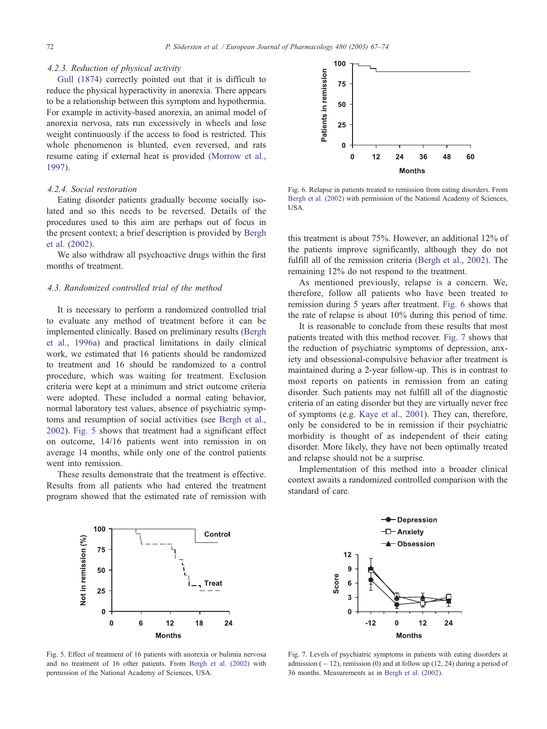# 4.2.3. Reduction of physical activity

Gull [\(1874\)](#page-6-0) correctly pointed out that it is difficult to reduce the physical hyperactivity in anorexia. There appears to be a relationship between this symptom and hypothermia. For example in activity-based anorexia, an animal model of anorexia nervosa, rats run excessively in wheels and lose weight continuously if the access to food is restricted. This whole phenomenon is blunted, even reversed, and rats resume eating if external heat is provided [\(Morrow](#page-7-0) et al., 1997).

#### 4.2.4. Social restoration

Eating disorder patients gradually become socially isolated and so this needs to be reversed. Details of the procedures used to this aim are perhaps out of focus in the present context; a brief description is provided by [Bergh](#page-6-0) et al. (2002).

We also withdraw all psychoactive drugs within the first months of treatment.

# 4.3. Randomized controlled trial of the method

It is necessary to perform a randomized controlled trial to evaluate any method of treatment before it can be implemented clinically. Based on preliminary results [\(Bergh](#page-6-0) et al., 1996a) and practical limitations in daily clinical work, we estimated that 16 patients should be randomized to treatment and 16 should be randomized to a control procedure, which was waiting for treatment. Exclusion criteria were kept at a minimum and strict outcome criteria were adopted. These included a normal eating behavior, normal laboratory test values, absence of psychiatric symptoms and resumption of social activities (see [Bergh](#page-6-0) et al., 2002). Fig. 5 shows that treatment had a significant effect on outcome, 14/16 patients went into remission in on average 14 months, while only one of the control patients went into remission.

These results demonstrate that the treatment is effective. Results from all patients who had entered the treatment program showed that the estimated rate of remission with



Fig. 6. Relapse in patients treated to remission from eating disorders. From Bergh et al. [\(2002\)](#page-6-0) with permission of the National Academy of Sciences, USA.

this treatment is about 75%. However, an additional 12% of the patients improve significantly, although they do not fulfill all of the remission criteria (Bergh et al., [2002\).](#page-6-0) The remaining 12% do not respond to the treatment.

As mentioned previously, relapse is a concern. We, therefore, follow all patients who have been treated to remission during 5 years after treatment. Fig. 6 shows that the rate of relapse is about 10% during this period of time.

It is reasonable to conclude from these results that most patients treated with this method recover. Fig. 7 shows that the reduction of psychiatric symptoms of depression, anxiety and obsessional-compulsive behavior after treatment is maintained during a 2-year follow-up. This is in contrast to most reports on patients in remission from an eating disorder. Such patients may not fulfill all of the diagnostic criteria of an eating disorder but they are virtually never free of symptoms (e.g. Kaye et al., [2001\)](#page-7-0). They can, therefore, only be considered to be in remission if their psychiatric morbidity is thought of as independent of their eating disorder. More likely, they have not been optimally treated and relapse should not be a surprise.

Implementation of this method into a broader clinical context awaits a randomized controlled comparison with the standard of care.



Fig. 5. Effect of treatment of 16 patients with anorexia or bulimia nervosa and no treatment of 16 other patients. From Bergh et al. [\(2002\)](#page-6-0) with permission of the National Academy of Sciences, USA.



Fig. 7. Levels of psychiatric symptoms in patients with eating disorders at admission  $(-12)$ , remission (0) and at follow up (12, 24) during a period of 36 months. Measurements as in Bergh et al. [\(2002\).](#page-6-0)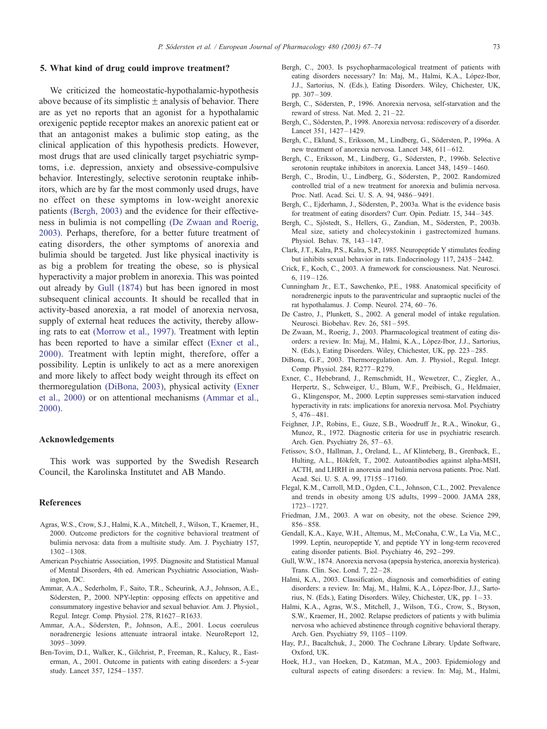#### <span id="page-6-0"></span>5. What kind of drug could improve treatment?

We criticized the homeostatic-hypothalamic-hypothesis above because of its simplistic  $\pm$  analysis of behavior. There are as yet no reports that an agonist for a hypothalamic orexigenic peptide receptor makes an anorexic patient eat or that an antagonist makes a bulimic stop eating, as the clinical application of this hypothesis predicts. However, most drugs that are used clinically target psychiatric symptoms, i.e. depression, anxiety and obsessive-compulsive behavior. Interestingly, selective serotonin reuptake inhibitors, which are by far the most commonly used drugs, have no effect on these symptoms in low-weight anorexic patients (Bergh, 2003) and the evidence for their effectiveness in bulimia is not compelling (De Zwaan and Roerig, 2003). Perhaps, therefore, for a better future treatment of eating disorders, the other symptoms of anorexia and bulimia should be targeted. Just like physical inactivity is as big a problem for treating the obese, so is physical hyperactivity a major problem in anorexia. This was pointed out already by Gull (1874) but has been ignored in most subsequent clinical accounts. It should be recalled that in activity-based anorexia, a rat model of anorexia nervosa, supply of external heat reduces the activity, thereby allowing rats to eat [\(Morrow](#page-7-0) et al., 1997). Treatment with leptin has been reported to have a similar effect (Exner et al., 2000). Treatment with leptin might, therefore, offer a possibility. Leptin is unlikely to act as a mere anorexigen and more likely to affect body weight through its effect on thermoregulation (DiBona, 2003), physical activity (Exner et al., 2000) or on attentional mechanisms (Ammar et al., 2000).

# Acknowledgements

This work was supported by the Swedish Research Council, the Karolinska Institutet and AB Mando.

#### References

- Agras, W.S., Crow, S.J., Halmi, K.A., Mitchell, J., Wilson, T., Kraemer, H., 2000. Outcome predictors for the cognitive behavioral treatment of bulimia nervosa: data from a multisite study. Am. J. Psychiatry 157, 1302–1308.
- American Psychiatric Association, 1995. Diagnositc and Statistical Manual of Mental Disorders, 4th ed. American Psychiatric Association, Washington, DC.
- Ammar, A.A., Sederholm, F., Saito, T.R., Scheurink, A.J., Johnson, A.E., Södersten, P., 2000. NPY-leptin: opposing effects on appetitive and consummatory ingestive behavior and sexual behavior. Am. J. Physiol., Regul. Integr. Comp. Physiol. 278, R1627–R1633.
- Ammar, A.A., Södersten, P., Johnson, A.E., 2001. Locus coeruleus noradrenergic lesions attenuate intraoral intake. NeuroReport 12, 3095–3099.
- Ben-Tovim, D.I., Walker, K., Gilchrist, P., Freeman, R., Kalucy, R., Easterman, A., 2001. Outcome in patients with eating disorders: a 5-year study. Lancet 357, 1254– 1357.
- Bergh, C., 2003. Is psychopharmacological treatment of patients with eating disorders necessary? In: Maj, M., Halmi, K.A., López-Ibor, J.J., Sartorius, N. (Eds.), Eating Disorders. Wiley, Chichester, UK, pp. 307– 309.
- Bergh, C., Södersten, P., 1996. Anorexia nervosa, self-starvation and the reward of stress. Nat. Med.  $2$ ,  $21-22$ .
- Bergh, C., Södersten, P., 1998. Anorexia nervosa: rediscovery of a disorder. Lancet 351, 1427–1429.
- Bergh, C., Eklund, S., Eriksson, M., Lindberg, G., Södersten, P., 1996a. A new treatment of anorexia nervosa. Lancet 348, 611-612.
- Bergh, C., Eriksson, M., Lindberg, G., Södersten, P., 1996b. Selective serotonin reuptake inhibitors in anorexia. Lancet 348, 1459–1460.
- Bergh, C., Brodin, U., Lindberg, G., Södersten, P., 2002. Randomized controlled trial of a new treatment for anorexia and bulimia nervosa. Proc. Natl. Acad. Sci. U. S. A. 94, 9486–9491.
- Bergh, C., Eiderhamn, J., Södersten, P., 2003a. What is the evidence basis for treatment of eating disorders? Curr. Opin. Pediatr. 15, 344– 345.
- Bergh, C., Sjöstedt, S., Hellers, G., Zandian, M., Södersten, P., 2003b. Meal size, satiety and cholecystokinin i gastrectomized humans. Physiol. Behav. 78, 143– 147.
- Clark, J.T., Kalra, P.S., Kalra, S.P., 1985. Neuropeptide Y stimulates feeding but inhibits sexual behavior in rats. Endocrinology 117, 2435– 2442.
- Crick, F., Koch, C., 2003. A framework for consciousness. Nat. Neurosci. 6, 119–126.
- Cunningham Jr., E.T., Sawchenko, P.E., 1988. Anatomical specificity of noradrenergic inputs to the paraventricular and supraoptic nuclei of the rat hypothalamus. J. Comp. Neurol. 274, 60–76.
- De Castro, J., Plunkett, S., 2002. A general model of intake regulation. Neurosci. Biobehav. Rev. 26, 581-595.
- De Zwaan, M., Roerig, J., 2003. Pharmacological treatment of eating disorders: a review. In: Maj, M., Halmi, K.A., López-Ibor, J.J., Sartorius, N. (Eds.), Eating Disorders. Wiley, Chichester, UK, pp. 223– 285.
- DiBona, G.F., 2003. Thermoregulation. Am. J. Physiol., Regul. Integr. Comp. Physiol. 284, R277–R279.
- Exner, C., Hebebrand, J., Remschmidt, H., Wewetzer, C., Ziegler, A., Herpertz, S., Schweiger, U., Blum, W.F., Preibisch, G., Heldmaier, G., Klingenspor, M., 2000. Leptin suppresses semi-starvation induced hyperactivity in rats: implications for anorexia nervosa. Mol. Psychiatry 5, 476– 481.
- Feighner, J.P., Robins, E., Guze, S.B., Woodruff Jr., R.A., Winokur, G., Munoz, R., 1972. Diagnostic criteria for use in psychiatric research. Arch. Gen. Psychiatry 26, 57–63.
- Fetissov, S.O., Hallman, J., Oreland, L., Af Klinteberg, B., Grenback, E., Hulting, A.L., Hökfelt, T., 2002. Autoantibodies against alpha-MSH, ACTH, and LHRH in anorexia and bulimia nervosa patients. Proc. Natl. Acad. Sci. U. S. A. 99, 17155–17160.
- Flegal, K.M., Carroll, M.D., Ogden, C.L., Johnson, C.L., 2002. Prevalence and trends in obesity among US adults, 1999 – 2000. JAMA 288, 1723– 1727.
- Friedman, J.M., 2003. A war on obesity, not the obese. Science 299, 856– 858.
- Gendall, K.A., Kaye, W.H., Altemus, M., McConaha, C.W., La Via, M.C., 1999. Leptin, neuropeptide Y, and peptide YY in long-term recovered eating disorder patients. Biol. Psychiatry 46, 292– 299.
- Gull, W.W., 1874. Anorexia nervosa (apepsia hysterica, anorexia hysterica). Trans. Clin. Soc. Lond. 7, 22-28.
- Halmi, K.A., 2003. Classification, diagnosis and comorbidities of eating disorders: a review. In: Maj, M., Halmi, K.A., López-Ibor, J.J., Sartorius, N. (Eds.), Eating Disorders. Wiley, Chichester, UK, pp. 1 – 33.
- Halmi, K.A., Agras, W.S., Mitchell, J., Wilson, T.G., Crow, S., Bryson, S.W., Kraemer, H., 2002. Relapse predictors of patients y with bulimia nervosa who achieved abstinence through cognitive behavioral therapy. Arch. Gen. Psychiatry 59, 1105–1109.
- Hay, P.J., Bacaltchuk, J., 2000. The Cochrane Library. Update Software, Oxford, UK.
- Hoek, H.J., van Hoeken, D., Katzman, M.A., 2003. Epidemiology and cultural aspects of eating disorders: a review. In: Maj, M., Halmi,